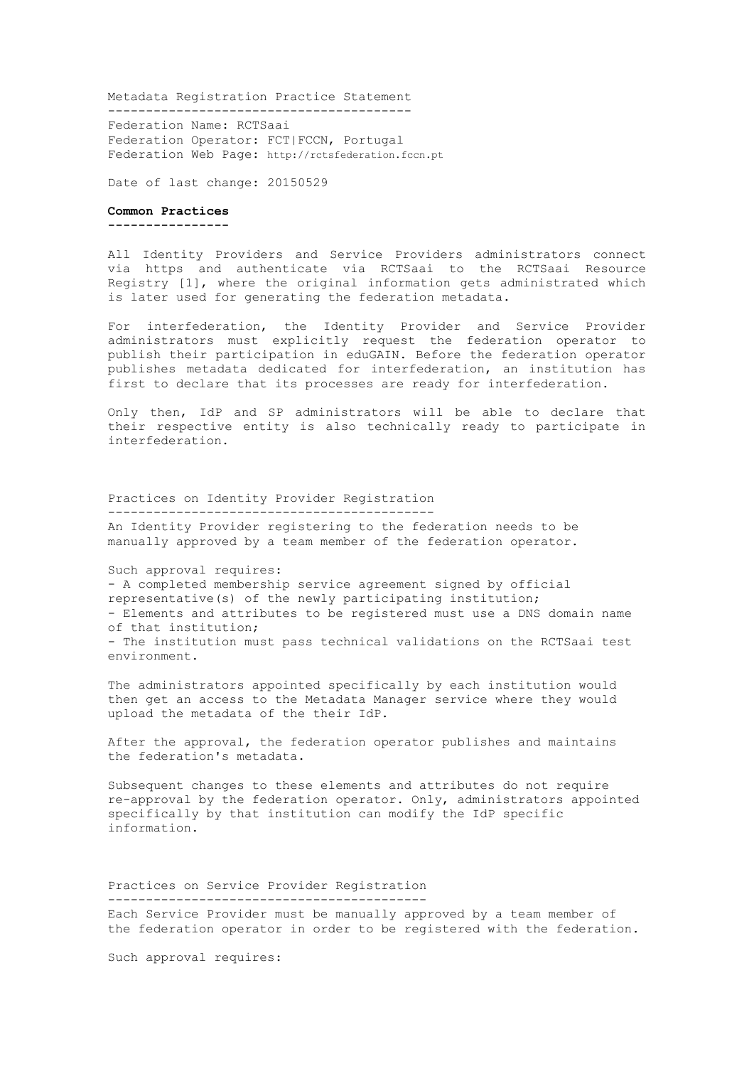Metadata Registration Practice Statement

---------------------------------------- Federation Name: RCTSaai Federation Operator: FCT|FCCN, Portugal Federation Web Page: http://rctsfederation.fccn.pt

Date of last change: 20150529

## **Common Practices**

**----------------**

All Identity Providers and Service Providers administrators connect via https and authenticate via RCTSaai to the RCTSaai Resource Registry [1], where the original information gets administrated which is later used for generating the federation metadata.

For interfederation, the Identity Provider and Service Provider administrators must explicitly request the federation operator to publish their participation in eduGAIN. Before the federation operator publishes metadata dedicated for interfederation, an institution has first to declare that its processes are ready for interfederation.

Only then, IdP and SP administrators will be able to declare that their respective entity is also technically ready to participate in interfederation.

Practices on Identity Provider Registration ------------------------------------------- An Identity Provider registering to the federation needs to be manually approved by a team member of the federation operator.

Such approval requires: - A completed membership service agreement signed by official representative(s) of the newly participating institution; - Elements and attributes to be registered must use a DNS domain name of that institution; - The institution must pass technical validations on the RCTSaai test environment.

The administrators appointed specifically by each institution would then get an access to the Metadata Manager service where they would upload the metadata of the their IdP.

After the approval, the federation operator publishes and maintains the federation's metadata.

Subsequent changes to these elements and attributes do not require re-approval by the federation operator. Only, administrators appointed specifically by that institution can modify the IdP specific information.

## Practices on Service Provider Registration ------------------------------------------

Each Service Provider must be manually approved by a team member of the federation operator in order to be registered with the federation.

Such approval requires: